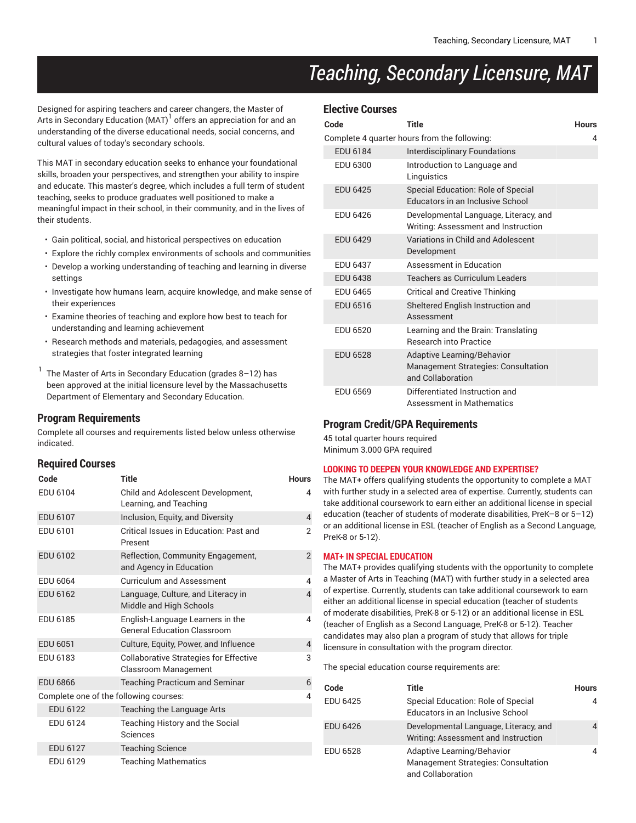# *Teaching, Secondary Licensure, MAT*

Designed for aspiring teachers and career changers, the Master of Arts in Secondary Education (MAT) $^{\rm l}$  offers an appreciation for and an understanding of the diverse educational needs, social concerns, and cultural values of today's secondary schools.

This MAT in secondary education seeks to enhance your foundational skills, broaden your perspectives, and strengthen your ability to inspire and educate. This master's degree, which includes a full term of student teaching, seeks to produce graduates well positioned to make a meaningful impact in their school, in their community, and in the lives of their students.

- Gain political, social, and historical perspectives on education
- Explore the richly complex environments of schools and communities • Develop a working understanding of teaching and learning in diverse settings
- Investigate how humans learn, acquire knowledge, and make sense of their experiences
- Examine theories of teaching and explore how best to teach for understanding and learning achievement
- Research methods and materials, pedagogies, and assessment strategies that foster integrated learning

1 The Master of Arts in Secondary Education (grades 8–12) has been approved at the initial licensure level by the Massachusetts Department of Elementary and Secondary Education.

## **Program Requirements**

Complete all courses and requirements listed below unless otherwise indicated.

### **Required Courses**

| Code                                   | <b>Title</b>                                                                 | <b>Hours</b>   |
|----------------------------------------|------------------------------------------------------------------------------|----------------|
| EDU 6104                               | Child and Adolescent Development,<br>Learning, and Teaching                  | 4              |
| EDU 6107                               | Inclusion, Equity, and Diversity                                             | $\overline{4}$ |
| EDU 6101                               | Critical Issues in Education: Past and<br>Present                            | $\mathfrak{p}$ |
| EDU 6102                               | Reflection, Community Engagement,<br>and Agency in Education                 | $\overline{2}$ |
| EDU 6064                               | <b>Curriculum and Assessment</b>                                             | 4              |
| EDU 6162                               | Language, Culture, and Literacy in<br>Middle and High Schools                | 4              |
| EDU 6185                               | English-Language Learners in the<br><b>General Education Classroom</b>       | 4              |
| EDU 6051                               | Culture, Equity, Power, and Influence                                        | 4              |
| EDU 6183                               | <b>Collaborative Strategies for Effective</b><br><b>Classroom Management</b> | 3              |
| <b>EDU 6866</b>                        | <b>Teaching Practicum and Seminar</b>                                        | 6              |
| Complete one of the following courses: |                                                                              | 4              |
| <b>EDU 6122</b>                        | Teaching the Language Arts                                                   |                |
| EDU 6124                               | Teaching History and the Social<br>Sciences                                  |                |
| EDU 6127                               | <b>Teaching Science</b>                                                      |                |
| EDU 6129                               | <b>Teaching Mathematics</b>                                                  |                |

| <b>Elective Courses</b> |  |
|-------------------------|--|
|                         |  |

| Code            | <b>Title</b>                                                                                         | <b>Hours</b> |
|-----------------|------------------------------------------------------------------------------------------------------|--------------|
|                 | Complete 4 quarter hours from the following:                                                         | 4            |
| EDU 6184        | <b>Interdisciplinary Foundations</b>                                                                 |              |
| EDU 6300        | Introduction to Language and<br>Linguistics                                                          |              |
| <b>EDU 6425</b> | Special Education: Role of Special<br>Educators in an Inclusive School                               |              |
| <b>FDU 6426</b> | Developmental Language, Literacy, and<br>Writing: Assessment and Instruction                         |              |
| <b>EDU 6429</b> | Variations in Child and Adolescent<br>Development                                                    |              |
| <b>EDU 6437</b> | Assessment in Education                                                                              |              |
| <b>EDU 6438</b> | Teachers as Curriculum Leaders                                                                       |              |
| <b>EDU 6465</b> | <b>Critical and Creative Thinking</b>                                                                |              |
| EDU 6516        | Sheltered English Instruction and<br>Assessment                                                      |              |
| EDU 6520        | Learning and the Brain: Translating<br><b>Research into Practice</b>                                 |              |
| <b>EDU 6528</b> | <b>Adaptive Learning/Behavior</b><br><b>Management Strategies: Consultation</b><br>and Collaboration |              |
| <b>EDU 6569</b> | Differentiated Instruction and<br>Assessment in Mathematics                                          |              |

## **Program Credit/GPA Requirements**

45 total quarter hours required Minimum 3.000 GPA required

#### **LOOKING TO DEEPEN YOUR KNOWLEDGE AND EXPERTISE?**

The MAT+ offers qualifying students the opportunity to complete a MAT with further study in a selected area of expertise. Currently, students can take additional coursework to earn either an additional license in special education (teacher of students of moderate disabilities, PreK–8 or 5–12) or an additional license in ESL (teacher of English as a Second Language, PreK-8 or 5-12).

#### **MAT+ IN SPECIAL EDUCATION**

The MAT+ provides qualifying students with the opportunity to complete a Master of Arts in Teaching (MAT) with further study in a selected area of expertise. Currently, students can take additional coursework to earn either an additional license in special education (teacher of students of moderate disabilities, PreK-8 or 5-12) or an additional license in ESL (teacher of English as a Second Language, PreK-8 or 5-12). Teacher candidates may also plan a program of study that allows for triple licensure in consultation with the program director.

The special education course requirements are:

| Code            | Title                                                                                  | <b>Hours</b> |
|-----------------|----------------------------------------------------------------------------------------|--------------|
| <b>EDU 6425</b> | Special Education: Role of Special<br>Educators in an Inclusive School                 |              |
| <b>EDU 6426</b> | Developmental Language, Literacy, and<br>Writing: Assessment and Instruction           |              |
| <b>EDU 6528</b> | Adaptive Learning/Behavior<br>Management Strategies: Consultation<br>and Collaboration |              |